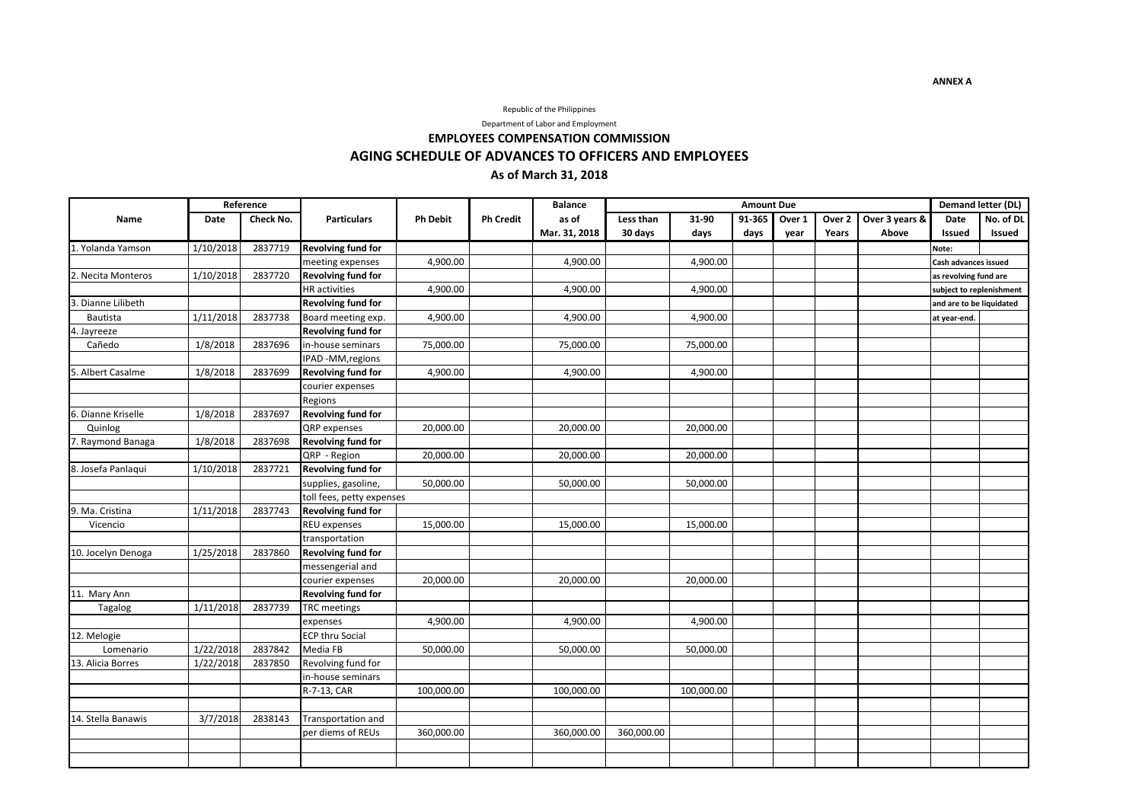### Republic of the Philippines

Department of Labor and Employment

# **EMPLOYEES COMPENSATION COMMISSION AGING SCHEDULE OF ADVANCES TO OFFICERS AND EMPLOYEES As of March 31, 2018**

|                    | Reference   |           |                           |                 |                  | <b>Balance</b> | <b>Amount Due</b> |            |        |        |        |                | Demand letter (DL)       |           |
|--------------------|-------------|-----------|---------------------------|-----------------|------------------|----------------|-------------------|------------|--------|--------|--------|----------------|--------------------------|-----------|
| Name               | <b>Date</b> | Check No. | <b>Particulars</b>        | <b>Ph Debit</b> | <b>Ph Credit</b> | as of          | Less than         | 31-90      | 91-365 | Over 1 | Over 2 | Over 3 years & | <b>Date</b>              | No. of DL |
|                    |             |           |                           |                 |                  | Mar. 31, 2018  | 30 days           | days       | days   | year   | Years  | Above          | Issued                   | Issued    |
| 1. Yolanda Yamson  | 1/10/2018   | 2837719   | <b>Revolving fund for</b> |                 |                  |                |                   |            |        |        |        |                | Note:                    |           |
|                    |             |           | meeting expenses          | 4,900.00        |                  | 4,900.00       |                   | 4,900.00   |        |        |        |                | Cash advances issued     |           |
| 2. Necita Monteros | 1/10/2018   | 2837720   | <b>Revolving fund for</b> |                 |                  |                |                   |            |        |        |        |                | as revolving fund are    |           |
|                    |             |           | <b>HR</b> activities      | 4,900.00        |                  | 4,900.00       |                   | 4,900.00   |        |        |        |                | subject to replenishment |           |
| 3. Dianne Lilibeth |             |           | Revolving fund for        |                 |                  |                |                   |            |        |        |        |                | and are to be liquidated |           |
| Bautista           | 1/11/2018   | 2837738   | Board meeting exp.        | 4,900.00        |                  | 4,900.00       |                   | 4,900.00   |        |        |        |                | at year-end.             |           |
| 4. Jayreeze        |             |           | Revolving fund for        |                 |                  |                |                   |            |        |        |        |                |                          |           |
| Cañedo             | 1/8/2018    | 2837696   | in-house seminars         | 75,000.00       |                  | 75,000.00      |                   | 75,000.00  |        |        |        |                |                          |           |
|                    |             |           | IPAD -MM, regions         |                 |                  |                |                   |            |        |        |        |                |                          |           |
| 5. Albert Casalme  | 1/8/2018    | 2837699   | <b>Revolving fund for</b> | 4,900.00        |                  | 4,900.00       |                   | 4,900.00   |        |        |        |                |                          |           |
|                    |             |           | courier expenses          |                 |                  |                |                   |            |        |        |        |                |                          |           |
|                    |             |           | Regions                   |                 |                  |                |                   |            |        |        |        |                |                          |           |
| 6. Dianne Kriselle | 1/8/2018    | 2837697   | Revolving fund for        |                 |                  |                |                   |            |        |        |        |                |                          |           |
| Quinlog            |             |           | QRP expenses              | 20,000.00       |                  | 20,000.00      |                   | 20,000.00  |        |        |        |                |                          |           |
| 7. Raymond Banaga  | 1/8/2018    | 2837698   | Revolving fund for        |                 |                  |                |                   |            |        |        |        |                |                          |           |
|                    |             |           | QRP - Region              | 20,000.00       |                  | 20,000.00      |                   | 20,000.00  |        |        |        |                |                          |           |
| 8. Josefa Panlaqui | 1/10/2018   | 2837721   | <b>Revolving fund for</b> |                 |                  |                |                   |            |        |        |        |                |                          |           |
|                    |             |           | supplies, gasoline,       | 50,000.00       |                  | 50,000.00      |                   | 50,000.00  |        |        |        |                |                          |           |
|                    |             |           | toll fees, petty expenses |                 |                  |                |                   |            |        |        |        |                |                          |           |
| 9. Ma. Cristina    | 1/11/2018   | 2837743   | <b>Revolving fund for</b> |                 |                  |                |                   |            |        |        |        |                |                          |           |
| Vicencio           |             |           | <b>REU</b> expenses       | 15,000.00       |                  | 15,000.00      |                   | 15,000.00  |        |        |        |                |                          |           |
|                    |             |           | transportation            |                 |                  |                |                   |            |        |        |        |                |                          |           |
| 10. Jocelyn Denoga | 1/25/2018   | 2837860   | <b>Revolving fund for</b> |                 |                  |                |                   |            |        |        |        |                |                          |           |
|                    |             |           | messengerial and          |                 |                  |                |                   |            |        |        |        |                |                          |           |
|                    |             |           | courier expenses          | 20,000.00       |                  | 20,000.00      |                   | 20,000.00  |        |        |        |                |                          |           |
| 11. Mary Ann       |             |           | Revolving fund for        |                 |                  |                |                   |            |        |        |        |                |                          |           |
| Tagalog            | 1/11/2018   | 2837739   | <b>TRC</b> meetings       |                 |                  |                |                   |            |        |        |        |                |                          |           |
|                    |             |           | expenses                  | 4,900.00        |                  | 4,900.00       |                   | 4,900.00   |        |        |        |                |                          |           |
| 12. Melogie        |             |           | <b>ECP thru Social</b>    |                 |                  |                |                   |            |        |        |        |                |                          |           |
| Lomenario          | 1/22/2018   | 2837842   | Media FB                  | 50,000.00       |                  | 50,000.00      |                   | 50,000.00  |        |        |        |                |                          |           |
| 13. Alicia Borres  | 1/22/2018   | 2837850   | Revolving fund for        |                 |                  |                |                   |            |        |        |        |                |                          |           |
|                    |             |           | in-house seminars         |                 |                  |                |                   |            |        |        |        |                |                          |           |
|                    |             |           | R-7-13, CAR               | 100,000.00      |                  | 100,000.00     |                   | 100,000.00 |        |        |        |                |                          |           |
|                    |             |           |                           |                 |                  |                |                   |            |        |        |        |                |                          |           |
| 14. Stella Banawis | 3/7/2018    | 2838143   | Transportation and        |                 |                  |                |                   |            |        |        |        |                |                          |           |
|                    |             |           | per diems of REUs         | 360,000.00      |                  | 360,000.00     | 360,000.00        |            |        |        |        |                |                          |           |
|                    |             |           |                           |                 |                  |                |                   |            |        |        |        |                |                          |           |
|                    |             |           |                           |                 |                  |                |                   |            |        |        |        |                |                          |           |

**ANNEX A**